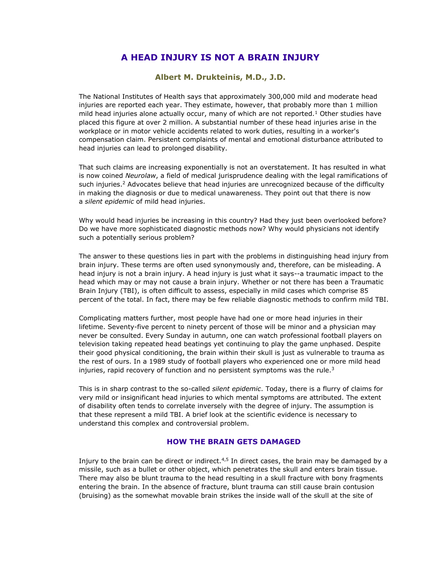# **A HEAD INJURY IS NOT A BRAIN INJURY**

# **Albert M. Drukteinis, M.D., J.D.**

The National Institutes of Health says that approximately 300,000 mild and moderate head injuries are reported each year. They estimate, however, that probably more than 1 million mild head injuries alone actually occur, many of which are not reported.<sup>1</sup> Other studies have placed this figure at over 2 million. A substantial number of these head injuries arise in the workplace or in motor vehicle accidents related to work duties, resulting in a worker's compensation claim. Persistent complaints of mental and emotional disturbance attributed to head injuries can lead to prolonged disability.

That such claims are increasing exponentially is not an overstatement. It has resulted in what is now coined *Neurolaw*, a field of medical jurisprudence dealing with the legal ramifications of such injuries.<sup>2</sup> Advocates believe that head injuries are unrecognized because of the difficulty in making the diagnosis or due to medical unawareness. They point out that there is now a *silent epidemic* of mild head injuries.

Why would head injuries be increasing in this country? Had they just been overlooked before? Do we have more sophisticated diagnostic methods now? Why would physicians not identify such a potentially serious problem?

The answer to these questions lies in part with the problems in distinguishing head injury from brain injury. These terms are often used synonymously and, therefore, can be misleading. A head injury is not a brain injury. A head injury is just what it says--a traumatic impact to the head which may or may not cause a brain injury. Whether or not there has been a Traumatic Brain Injury (TBI), is often difficult to assess, especially in mild cases which comprise 85 percent of the total. In fact, there may be few reliable diagnostic methods to confirm mild TBI.

Complicating matters further, most people have had one or more head injuries in their lifetime. Seventy-five percent to ninety percent of those will be minor and a physician may never be consulted. Every Sunday in autumn, one can watch professional football players on television taking repeated head beatings yet continuing to play the game unphased. Despite their good physical conditioning, the brain within their skull is just as vulnerable to trauma as the rest of ours. In a 1989 study of football players who experienced one or more mild head injuries, rapid recovery of function and no persistent symptoms was the rule. $3$ 

This is in sharp contrast to the so-called *silent epidemic*. Today, there is a flurry of claims for very mild or insignificant head injuries to which mental symptoms are attributed. The extent of disability often tends to correlate inversely with the degree of injury. The assumption is that these represent a mild TBI. A brief look at the scientific evidence is necessary to understand this complex and controversial problem.

# **HOW THE BRAIN GETS DAMAGED**

Injury to the brain can be direct or indirect. $4,5$  In direct cases, the brain may be damaged by a missile, such as a bullet or other object, which penetrates the skull and enters brain tissue. There may also be blunt trauma to the head resulting in a skull fracture with bony fragments entering the brain. In the absence of fracture, blunt trauma can still cause brain contusion (bruising) as the somewhat movable brain strikes the inside wall of the skull at the site of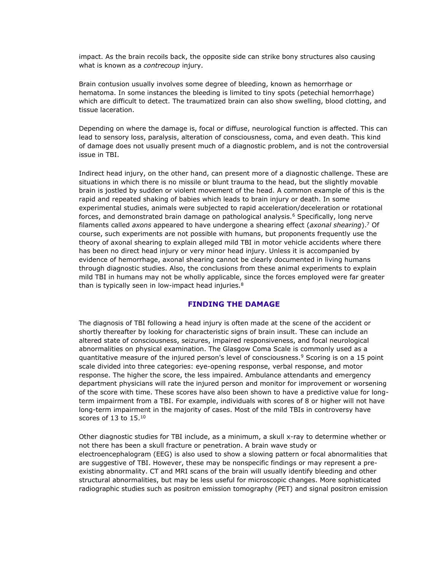impact. As the brain recoils back, the opposite side can strike bony structures also causing what is known as a *contrecoup* injury.

Brain contusion usually involves some degree of bleeding, known as hemorrhage or hematoma. In some instances the bleeding is limited to tiny spots (petechial hemorrhage) which are difficult to detect. The traumatized brain can also show swelling, blood clotting, and tissue laceration.

Depending on where the damage is, focal or diffuse, neurological function is affected. This can lead to sensory loss, paralysis, alteration of consciousness, coma, and even death. This kind of damage does not usually present much of a diagnostic problem, and is not the controversial issue in TBI.

Indirect head injury, on the other hand, can present more of a diagnostic challenge. These are situations in which there is no missile or blunt trauma to the head, but the slightly movable brain is jostled by sudden or violent movement of the head. A common example of this is the rapid and repeated shaking of babies which leads to brain injury or death. In some experimental studies, animals were subjected to rapid acceleration/deceleration or rotational forces, and demonstrated brain damage on pathological analysis.<sup>6</sup> Specifically, long nerve filaments called *axons* appeared to have undergone a shearing effect (*axonal shearing*).<sup>7</sup> Of course, such experiments are not possible with humans, but proponents frequently use the theory of axonal shearing to explain alleged mild TBI in motor vehicle accidents where there has been no direct head injury or very minor head injury. Unless it is accompanied by evidence of hemorrhage, axonal shearing cannot be clearly documented in living humans through diagnostic studies. Also, the conclusions from these animal experiments to explain mild TBI in humans may not be wholly applicable, since the forces employed were far greater than is typically seen in low-impact head injuries.<sup>8</sup>

#### **FINDING THE DAMAGE**

The diagnosis of TBI following a head injury is often made at the scene of the accident or shortly thereafter by looking for characteristic signs of brain insult. These can include an altered state of consciousness, seizures, impaired responsiveness, and focal neurological abnormalities on physical examination. The Glasgow Coma Scale is commonly used as a quantitative measure of the injured person's level of consciousness.<sup>9</sup> Scoring is on a 15 point scale divided into three categories: eye-opening response, verbal response, and motor response. The higher the score, the less impaired. Ambulance attendants and emergency department physicians will rate the injured person and monitor for improvement or worsening of the score with time. These scores have also been shown to have a predictive value for longterm impairment from a TBI. For example, individuals with scores of 8 or higher will not have long-term impairment in the majority of cases. Most of the mild TBIs in controversy have scores of 13 to 15.10

Other diagnostic studies for TBI include, as a minimum, a skull x-ray to determine whether or not there has been a skull fracture or penetration. A brain wave study or electroencephalogram (EEG) is also used to show a slowing pattern or focal abnormalities that are suggestive of TBI. However, these may be nonspecific findings or may represent a preexisting abnormality. CT and MRI scans of the brain will usually identify bleeding and other structural abnormalities, but may be less useful for microscopic changes. More sophisticated radiographic studies such as positron emission tomography (PET) and signal positron emission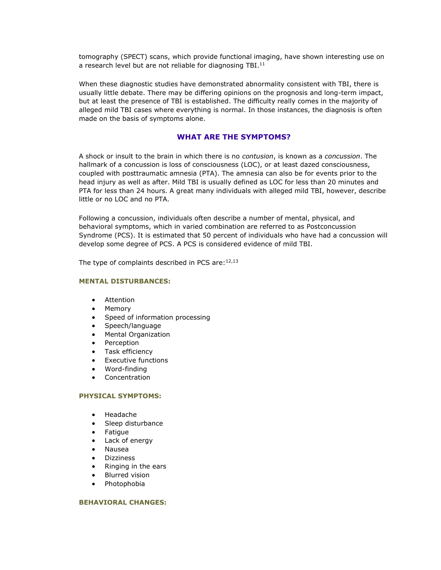tomography (SPECT) scans, which provide functional imaging, have shown interesting use on a research level but are not reliable for diagnosing TBI.<sup>11</sup>

When these diagnostic studies have demonstrated abnormality consistent with TBI, there is usually little debate. There may be differing opinions on the prognosis and long-term impact, but at least the presence of TBI is established. The difficulty really comes in the majority of alleged mild TBI cases where everything is normal. In those instances, the diagnosis is often made on the basis of symptoms alone.

### **WHAT ARE THE SYMPTOMS?**

A shock or insult to the brain in which there is no *contusion*, is known as a *concussion*. The hallmark of a concussion is loss of consciousness (LOC), or at least dazed consciousness, coupled with posttraumatic amnesia (PTA). The amnesia can also be for events prior to the head injury as well as after. Mild TBI is usually defined as LOC for less than 20 minutes and PTA for less than 24 hours. A great many individuals with alleged mild TBI, however, describe little or no LOC and no PTA.

Following a concussion, individuals often describe a number of mental, physical, and behavioral symptoms, which in varied combination are referred to as Postconcussion Syndrome (PCS). It is estimated that 50 percent of individuals who have had a concussion will develop some degree of PCS. A PCS is considered evidence of mild TBI.

The type of complaints described in PCS are: $12,13$ 

#### **MENTAL DISTURBANCES:**

- Attention
- Memory
- Speed of information processing
- Speech/language
- Mental Organization
- Perception
- Task efficiency
- Executive functions
- Word-finding
- Concentration

### **PHYSICAL SYMPTOMS:**

- Headache
- Sleep disturbance
- Fatigue
- Lack of energy
- Nausea
- Dizziness
- Ringing in the ears
- **Blurred vision**
- Photophobia

#### **BEHAVIORAL CHANGES:**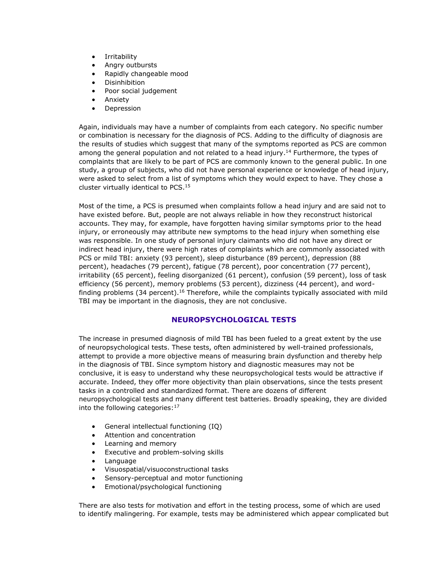- **Irritability**
- Angry outbursts
- Rapidly changeable mood
- **Disinhibition**
- Poor social judgement
- Anxiety
- **Depression**

Again, individuals may have a number of complaints from each category. No specific number or combination is necessary for the diagnosis of PCS. Adding to the difficulty of diagnosis are the results of studies which suggest that many of the symptoms reported as PCS are common among the general population and not related to a head injury.<sup>14</sup> Furthermore, the types of complaints that are likely to be part of PCS are commonly known to the general public. In one study, a group of subjects, who did not have personal experience or knowledge of head injury, were asked to select from a list of symptoms which they would expect to have. They chose a cluster virtually identical to PCS.<sup>15</sup>

Most of the time, a PCS is presumed when complaints follow a head injury and are said not to have existed before. But, people are not always reliable in how they reconstruct historical accounts. They may, for example, have forgotten having similar symptoms prior to the head injury, or erroneously may attribute new symptoms to the head injury when something else was responsible. In one study of personal injury claimants who did not have any direct or indirect head injury, there were high rates of complaints which are commonly associated with PCS or mild TBI: anxiety (93 percent), sleep disturbance (89 percent), depression (88 percent), headaches (79 percent), fatigue (78 percent), poor concentration (77 percent), irritability (65 percent), feeling disorganized (61 percent), confusion (59 percent), loss of task efficiency (56 percent), memory problems (53 percent), dizziness (44 percent), and wordfinding problems  $(34$  percent).<sup>16</sup> Therefore, while the complaints typically associated with mild TBI may be important in the diagnosis, they are not conclusive.

# **NEUROPSYCHOLOGICAL TESTS**

The increase in presumed diagnosis of mild TBI has been fueled to a great extent by the use of neuropsychological tests. These tests, often administered by well-trained professionals, attempt to provide a more objective means of measuring brain dysfunction and thereby help in the diagnosis of TBI. Since symptom history and diagnostic measures may not be conclusive, it is easy to understand why these neuropsychological tests would be attractive if accurate. Indeed, they offer more objectivity than plain observations, since the tests present tasks in a controlled and standardized format. There are dozens of different neuropsychological tests and many different test batteries. Broadly speaking, they are divided into the following categories:<sup>17</sup>

- General intellectual functioning (IQ)
- Attention and concentration
- Learning and memory
- Executive and problem-solving skills
- Language
- Visuospatial/visuoconstructional tasks
- Sensory-perceptual and motor functioning
- Emotional/psychological functioning

There are also tests for motivation and effort in the testing process, some of which are used to identify malingering. For example, tests may be administered which appear complicated but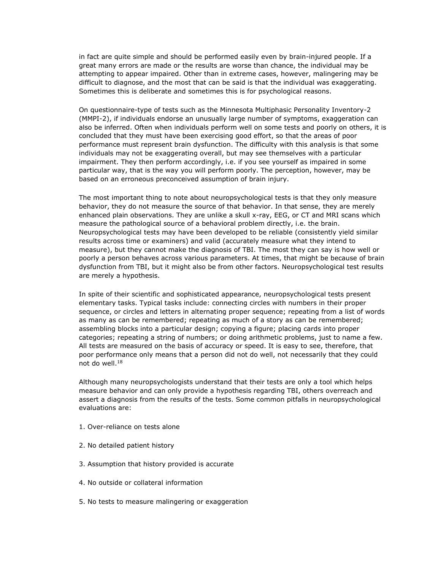in fact are quite simple and should be performed easily even by brain-injured people. If a great many errors are made or the results are worse than chance, the individual may be attempting to appear impaired. Other than in extreme cases, however, malingering may be difficult to diagnose, and the most that can be said is that the individual was exaggerating. Sometimes this is deliberate and sometimes this is for psychological reasons.

On questionnaire-type of tests such as the Minnesota Multiphasic Personality Inventory-2 (MMPI-2), if individuals endorse an unusually large number of symptoms, exaggeration can also be inferred. Often when individuals perform well on some tests and poorly on others, it is concluded that they must have been exercising good effort, so that the areas of poor performance must represent brain dysfunction. The difficulty with this analysis is that some individuals may not be exaggerating overall, but may see themselves with a particular impairment. They then perform accordingly, i.e. if you see yourself as impaired in some particular way, that is the way you will perform poorly. The perception, however, may be based on an erroneous preconceived assumption of brain injury.

The most important thing to note about neuropsychological tests is that they only measure behavior, they do not measure the source of that behavior. In that sense, they are merely enhanced plain observations. They are unlike a skull x-ray, EEG, or CT and MRI scans which measure the pathological source of a behavioral problem directly, i.e. the brain. Neuropsychological tests may have been developed to be reliable (consistently yield similar results across time or examiners) and valid (accurately measure what they intend to measure), but they cannot make the diagnosis of TBI. The most they can say is how well or poorly a person behaves across various parameters. At times, that might be because of brain dysfunction from TBI, but it might also be from other factors. Neuropsychological test results are merely a hypothesis.

In spite of their scientific and sophisticated appearance, neuropsychological tests present elementary tasks. Typical tasks include: connecting circles with numbers in their proper sequence, or circles and letters in alternating proper sequence; repeating from a list of words as many as can be remembered; repeating as much of a story as can be remembered; assembling blocks into a particular design; copying a figure; placing cards into proper categories; repeating a string of numbers; or doing arithmetic problems, just to name a few. All tests are measured on the basis of accuracy or speed. It is easy to see, therefore, that poor performance only means that a person did not do well, not necessarily that they could not do well.<sup>18</sup>

Although many neuropsychologists understand that their tests are only a tool which helps measure behavior and can only provide a hypothesis regarding TBI, others overreach and assert a diagnosis from the results of the tests. Some common pitfalls in neuropsychological evaluations are:

- 1. Over-reliance on tests alone
- 2. No detailed patient history
- 3. Assumption that history provided is accurate
- 4. No outside or collateral information
- 5. No tests to measure malingering or exaggeration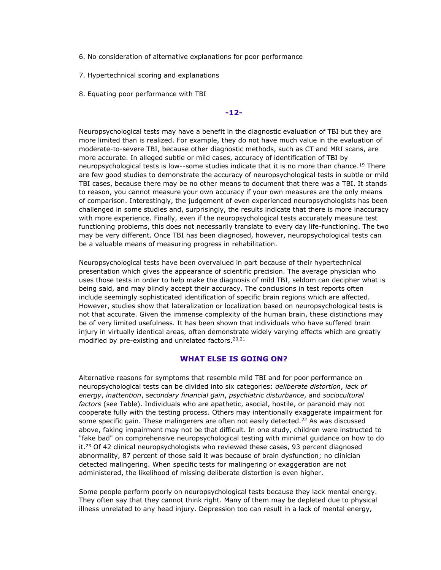- 6. No consideration of alternative explanations for poor performance
- 7. Hypertechnical scoring and explanations
- 8. Equating poor performance with TBI

### **-12-**

Neuropsychological tests may have a benefit in the diagnostic evaluation of TBI but they are more limited than is realized. For example, they do not have much value in the evaluation of moderate-to-severe TBI, because other diagnostic methods, such as CT and MRI scans, are more accurate. In alleged subtle or mild cases, accuracy of identification of TBI by neuropsychological tests is low--some studies indicate that it is no more than chance.<sup>19</sup> There are few good studies to demonstrate the accuracy of neuropsychological tests in subtle or mild TBI cases, because there may be no other means to document that there was a TBI. It stands to reason, you cannot measure your own accuracy if your own measures are the only means of comparison. Interestingly, the judgement of even experienced neuropsychologists has been challenged in some studies and, surprisingly, the results indicate that there is more inaccuracy with more experience. Finally, even if the neuropsychological tests accurately measure test functioning problems, this does not necessarily translate to every day life-functioning. The two may be very different. Once TBI has been diagnosed, however, neuropsychological tests can be a valuable means of measuring progress in rehabilitation.

Neuropsychological tests have been overvalued in part because of their hypertechnical presentation which gives the appearance of scientific precision. The average physician who uses those tests in order to help make the diagnosis of mild TBI, seldom can decipher what is being said, and may blindly accept their accuracy. The conclusions in test reports often include seemingly sophisticated identification of specific brain regions which are affected. However, studies show that lateralization or localization based on neuropsychological tests is not that accurate. Given the immense complexity of the human brain, these distinctions may be of very limited usefulness. It has been shown that individuals who have suffered brain injury in virtually identical areas, often demonstrate widely varying effects which are greatly modified by pre-existing and unrelated factors.<sup>20,21</sup>

#### **WHAT ELSE IS GOING ON?**

Alternative reasons for symptoms that resemble mild TBI and for poor performance on neuropsychological tests can be divided into six categories: *deliberate distortion*, *lack of energy*, *inattention*, *secondary financial gain*, *psychiatric disturbance*, and *sociocultural factors* (see Table). Individuals who are apathetic, asocial, hostile, or paranoid may not cooperate fully with the testing process. Others may intentionally exaggerate impairment for some specific gain. These malingerers are often not easily detected.<sup>22</sup> As was discussed above, faking impairment may not be that difficult. In one study, children were instructed to "fake bad" on comprehensive neuropsychological testing with minimal guidance on how to do it.<sup>23</sup> Of 42 clinical neuropsychologists who reviewed these cases, 93 percent diagnosed abnormality, 87 percent of those said it was because of brain dysfunction; no clinician detected malingering. When specific tests for malingering or exaggeration are not administered, the likelihood of missing deliberate distortion is even higher.

Some people perform poorly on neuropsychological tests because they lack mental energy. They often say that they cannot think right. Many of them may be depleted due to physical illness unrelated to any head injury. Depression too can result in a lack of mental energy,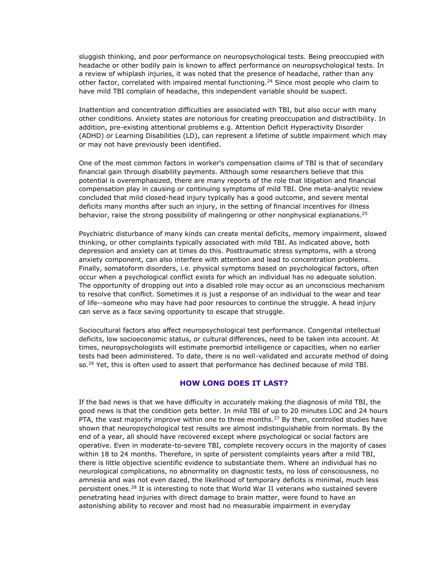sluggish thinking, and poor performance on neuropsychological tests. Being preoccupied with headache or other bodily pain is known to affect performance on neuropsychological tests. In a review of whiplash injuries, it was noted that the presence of headache, rather than any other factor, correlated with impaired mental functioning.<sup>24</sup> Since most people who claim to have mild TBI complain of headache, this independent variable should be suspect.

Inattention and concentration difficulties are associated with TBI, but also occur with many other conditions. Anxiety states are notorious for creating preoccupation and distractibility. In addition, pre-existing attentional problems e.g. Attention Deficit Hyperactivity Disorder (ADHD) or Learning Disabilities (LD), can represent a lifetime of subtle impairment which may or may not have previously been identified.

One of the most common factors in worker's compensation claims of TBI is that of secondary financial gain through disability payments. Although some researchers believe that this potential is overemphasized, there are many reports of the role that litigation and financial compensation play in causing or continuing symptoms of mild TBI. One meta-analytic review concluded that mild closed-head injury typically has a good outcome, and severe mental deficits many months after such an injury, in the setting of financial incentives for illness behavior, raise the strong possibility of malingering or other nonphysical explanations.<sup>25</sup>

Psychiatric disturbance of many kinds can create mental deficits, memory impairment, slowed thinking, or other complaints typically associated with mild TBI. As indicated above, both depression and anxiety can at times do this. Posttraumatic stress symptoms, with a strong anxiety component, can also interfere with attention and lead to concentration problems. Finally, somatoform disorders, i.e. physical symptoms based on psychological factors, often occur when a psychological conflict exists for which an individual has no adequate solution. The opportunity of dropping out into a disabled role may occur as an unconscious mechanism to resolve that conflict. Sometimes it is just a response of an individual to the wear and tear of life--someone who may have had poor resources to continue the struggle. A head injury can serve as a face saving opportunity to escape that struggle.

Sociocultural factors also affect neuropsychological test performance. Congenital intellectual deficits, low socioeconomic status, or cultural differences, need to be taken into account. At times, neuropsychologists will estimate premorbid intelligence or capacities, when no earlier tests had been administered. To date, there is no well-validated and accurate method of doing so.<sup>26</sup> Yet, this is often used to assert that performance has declined because of mild TBI.

### **HOW LONG DOES IT LAST?**

If the bad news is that we have difficulty in accurately making the diagnosis of mild TBI, the good news is that the condition gets better. In mild TBI of up to 20 minutes LOC and 24 hours PTA, the vast majority improve within one to three months.<sup>27</sup> By then, controlled studies have shown that neuropsychological test results are almost indistinguishable from normals. By the end of a year, all should have recovered except where psychological or social factors are operative. Even in moderate-to-severe TBI, complete recovery occurs in the majority of cases within 18 to 24 months. Therefore, in spite of persistent complaints years after a mild TBI, there is little objective scientific evidence to substantiate them. Where an individual has no neurological complications, no abnormality on diagnostic tests, no loss of consciousness, no amnesia and was not even dazed, the likelihood of temporary deficits is minimal, much less persistent ones.<sup>28</sup> It is interesting to note that World War II veterans who sustained severe penetrating head injuries with direct damage to brain matter, were found to have an astonishing ability to recover and most had no measurable impairment in everyday